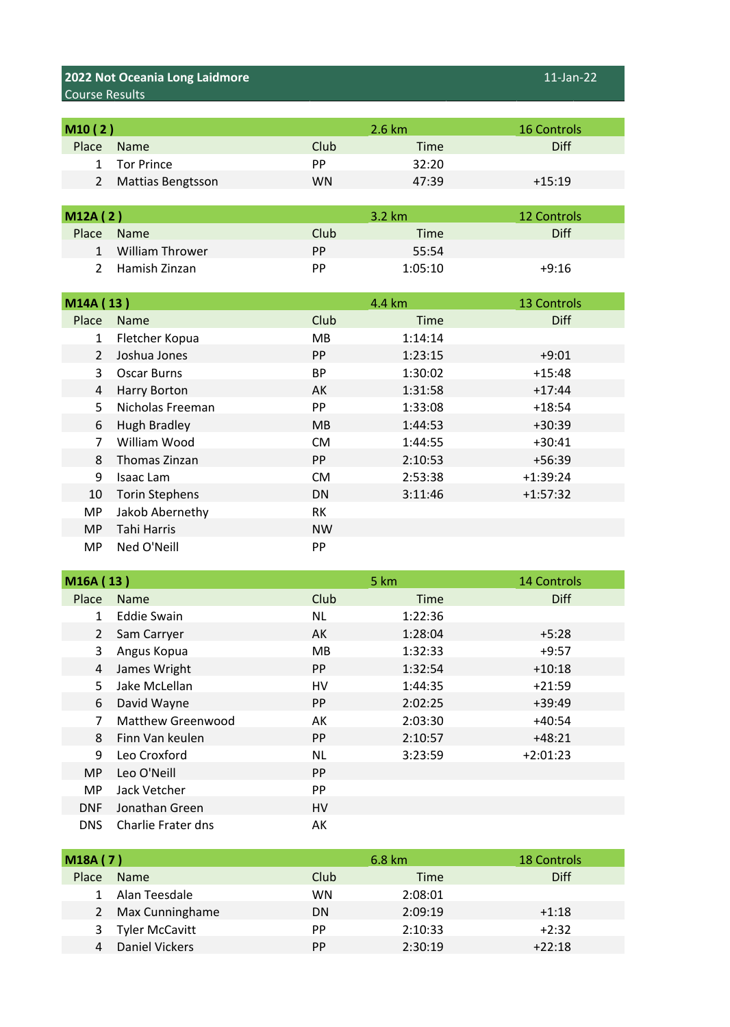## **2022 Not Oceania Long Laidmore** 11-Jan-22 Course Results

| M10 (2)      |                          |      | $2.6 \text{ km}$ | <b>16 Controls</b> |
|--------------|--------------------------|------|------------------|--------------------|
| Place        | <b>Name</b>              | Club | <b>Time</b>      | <b>Diff</b>        |
| $\mathbf{1}$ | <b>Tor Prince</b>        | РP   | 32:20            |                    |
| 2            | <b>Mattias Bengtsson</b> | WN   | 47:39            | $+15:19$           |

| M12A(2)       |                 |      | $3.2 \text{ km}$ | 12 Controls |
|---------------|-----------------|------|------------------|-------------|
| Place         | <b>Name</b>     | Club | Time             | <b>Diff</b> |
| $\mathbf{1}$  | William Thrower | PP   | 55:54            |             |
| $\mathcal{L}$ | Hamish Zinzan   | PP.  | 1:05:10          | $+9:16$     |

| M14A (13)      |                       |                | 4.4 km      | <b>13 Controls</b> |
|----------------|-----------------------|----------------|-------------|--------------------|
| Place          | <b>Name</b>           | Club           | <b>Time</b> | <b>Diff</b>        |
| $\mathbf{1}$   | Fletcher Kopua        | MB.            | 1:14:14     |                    |
| $\overline{2}$ | Joshua Jones          | <b>PP</b>      | 1:23:15     | $+9:01$            |
| 3              | Oscar Burns           | BP             | 1:30:02     | $+15:48$           |
| 4              | Harry Borton          | AK             | 1:31:58     | $+17:44$           |
| 5.             | Nicholas Freeman      | <b>PP</b>      | 1:33:08     | $+18:54$           |
| 6              | Hugh Bradley          | M <sub>B</sub> | 1:44:53     | $+30:39$           |
| $\overline{7}$ | William Wood          | <b>CM</b>      | 1:44:55     | $+30:41$           |
| 8              | Thomas Zinzan         | PP.            | 2:10:53     | $+56:39$           |
| 9              | Isaac Lam             | <b>CM</b>      | 2:53:38     | $+1:39:24$         |
| 10             | <b>Torin Stephens</b> | DN             | 3:11:46     | $+1:57:32$         |
| <b>MP</b>      | Jakob Abernethy       | RK             |             |                    |
| <b>MP</b>      | Tahi Harris           | <b>NW</b>      |             |                    |
| <b>MP</b>      | Ned O'Neill           | <b>PP</b>      |             |                    |

| M16A (13)    |                          |           | 5 km    | <b>14 Controls</b> |
|--------------|--------------------------|-----------|---------|--------------------|
| Place        | <b>Name</b>              | Club      | Time    | <b>Diff</b>        |
| $\mathbf{1}$ | <b>Eddie Swain</b>       | NL        | 1:22:36 |                    |
| 2            | Sam Carryer              | AK        | 1:28:04 | $+5:28$            |
| 3            | Angus Kopua              | <b>MB</b> | 1:32:33 | $+9:57$            |
| 4            | James Wright             | <b>PP</b> | 1:32:54 | $+10:18$           |
| 5.           | Jake McLellan            | HV        | 1:44:35 | $+21:59$           |
| 6            | David Wayne              | <b>PP</b> | 2:02:25 | $+39:49$           |
|              | <b>Matthew Greenwood</b> | AK        | 2:03:30 | $+40:54$           |
| 8            | Finn Van keulen          | <b>PP</b> | 2:10:57 | $+48:21$           |
| 9            | Leo Croxford             | <b>NL</b> | 3:23:59 | $+2:01:23$         |
| MP.          | Leo O'Neill              | <b>PP</b> |         |                    |
| <b>MP</b>    | Jack Vetcher             | PP        |         |                    |
| <b>DNF</b>   | Jonathan Green           | HV        |         |                    |
| <b>DNS</b>   | Charlie Frater dns       | АK        |         |                    |

| M18A(7)      |                   |      | 6.8 km  | <b>18 Controls</b> |
|--------------|-------------------|------|---------|--------------------|
| Place        | Name              | Club | Time    | <b>Diff</b>        |
| $\mathbf{1}$ | Alan Teesdale     | WN   | 2:08:01 |                    |
|              | 2 Max Cunninghame | DN   | 2:09:19 | $+1:18$            |
|              | 3 Tyler McCavitt  | PP   | 2:10:33 | $+2:32$            |
| 4            | Daniel Vickers    | PP   | 2:30:19 | $+22:18$           |
|              |                   |      |         |                    |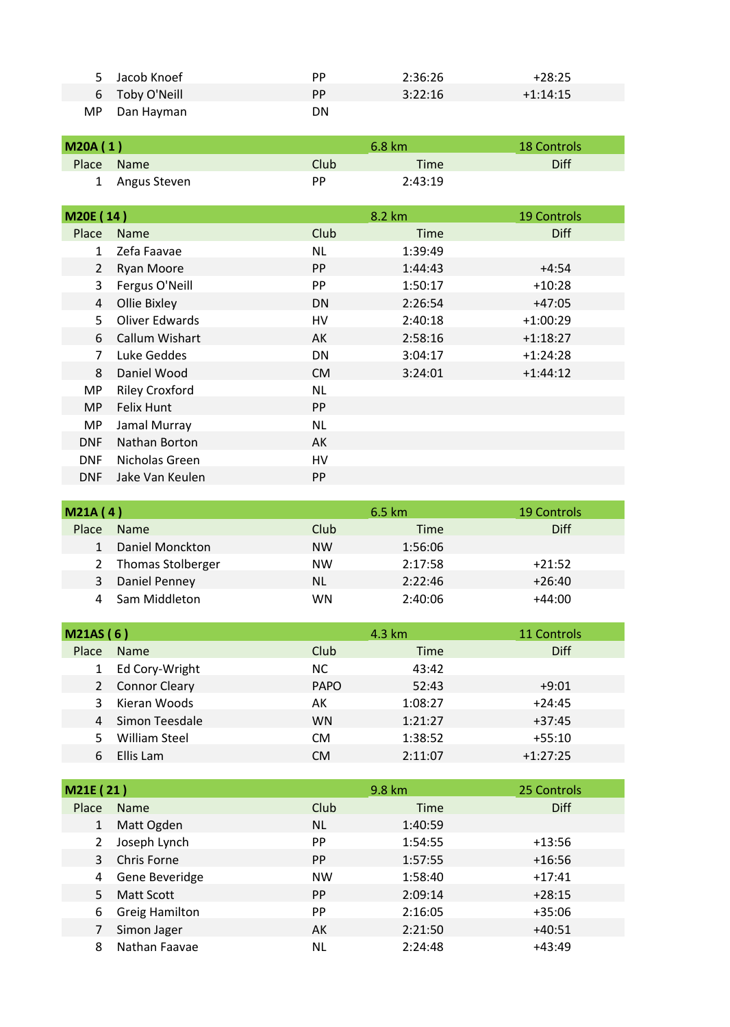|     | Jacob Knoef    | РP | 2:36:26 | $+28:25$   |
|-----|----------------|----|---------|------------|
|     | 6 Toby O'Neill | PP | 3:22:16 | $+1:14:15$ |
| MP. | Dan Hayman     | DN |         |            |

| M20A(1) |                |      | $6.8 \text{ km}$ | <b>18 Controls</b> |
|---------|----------------|------|------------------|--------------------|
|         | Place Name     | Club | Time             | Diff               |
|         | 1 Angus Steven | РP   | 2:43:19          |                    |

| M20E (14)      |                       |           | 8.2 km      | <b>19 Controls</b> |
|----------------|-----------------------|-----------|-------------|--------------------|
| Place          | <b>Name</b>           | Club      | <b>Time</b> | <b>Diff</b>        |
| $\mathbf{1}$   | Zefa Faavae           | NL        | 1:39:49     |                    |
| 2              | <b>Ryan Moore</b>     | PP.       | 1:44:43     | $+4:54$            |
| 3              | Fergus O'Neill        | PP        | 1:50:17     | $+10:28$           |
| 4              | Ollie Bixley          | DN        | 2:26:54     | $+47:05$           |
| 5              | Oliver Edwards        | HV        | 2:40:18     | $+1:00:29$         |
| 6              | Callum Wishart        | AK        | 2:58:16     | $+1:18:27$         |
| $\overline{7}$ | Luke Geddes           | DN        | 3:04:17     | $+1:24:28$         |
| 8              | Daniel Wood           | CM.       | 3:24:01     | $+1:44:12$         |
| MP.            | <b>Riley Croxford</b> | NL.       |             |                    |
| <b>MP</b>      | Felix Hunt            | <b>PP</b> |             |                    |
| MP.            | Jamal Murray          | NL        |             |                    |
| <b>DNF</b>     | Nathan Borton         | AK        |             |                    |
| <b>DNF</b>     | Nicholas Green        | HV        |             |                    |
| <b>DNF</b>     | Jake Van Keulen       | PP        |             |                    |

| M21A(4) |                     |           | $6.5 \text{ km}$ | <b>19 Controls</b> |
|---------|---------------------|-----------|------------------|--------------------|
| Place   | Name                | Club      | Time             | Diff               |
|         | Daniel Monckton     | <b>NW</b> | 1:56:06          |                    |
|         | 2 Thomas Stolberger | <b>NW</b> | 2:17:58          | $+21:52$           |
| 3       | Daniel Penney       | <b>NL</b> | 2:22:46          | $+26:40$           |
|         | Sam Middleton       | WN        | 2:40:06          | $+44:00$           |

| M21AS(6) |                      |             | 4.3 km  | 11 Controls |
|----------|----------------------|-------------|---------|-------------|
| Place    | <b>Name</b>          | Club        | Time    | <b>Diff</b> |
|          | Ed Cory-Wright       | ΝC          | 43:42   |             |
|          | 2 Connor Cleary      | <b>PAPO</b> | 52:43   | $+9:01$     |
|          | Kieran Woods         | АK          | 1:08:27 | $+24:45$    |
|          | 4 Simon Teesdale     | <b>WN</b>   | 1:21:27 | $+37:45$    |
|          | <b>William Steel</b> | <b>CM</b>   | 1:38:52 | $+55:10$    |
|          | Ellis Lam            | СM          | 2:11:07 | $+1:27:25$  |

| M21E (21)    |                       |           | 9.8 km  | 25 Controls |
|--------------|-----------------------|-----------|---------|-------------|
| <b>Place</b> | <b>Name</b>           | Club      | Time    | <b>Diff</b> |
| $\mathbf{1}$ | Matt Ogden            | <b>NL</b> | 1:40:59 |             |
|              | Joseph Lynch          | PP.       | 1:54:55 | $+13:56$    |
| 3            | Chris Forne           | PP.       | 1:57:55 | $+16:56$    |
| 4            | Gene Beveridge        | <b>NW</b> | 1:58:40 | $+17:41$    |
| 5.           | Matt Scott            | PP.       | 2:09:14 | $+28:15$    |
| 6            | <b>Greig Hamilton</b> | <b>PP</b> | 2:16:05 | $+35:06$    |
|              | Simon Jager           | AK        | 2:21:50 | $+40:51$    |
| 8            | Nathan Faavae         | NL        | 2:24:48 | $+43:49$    |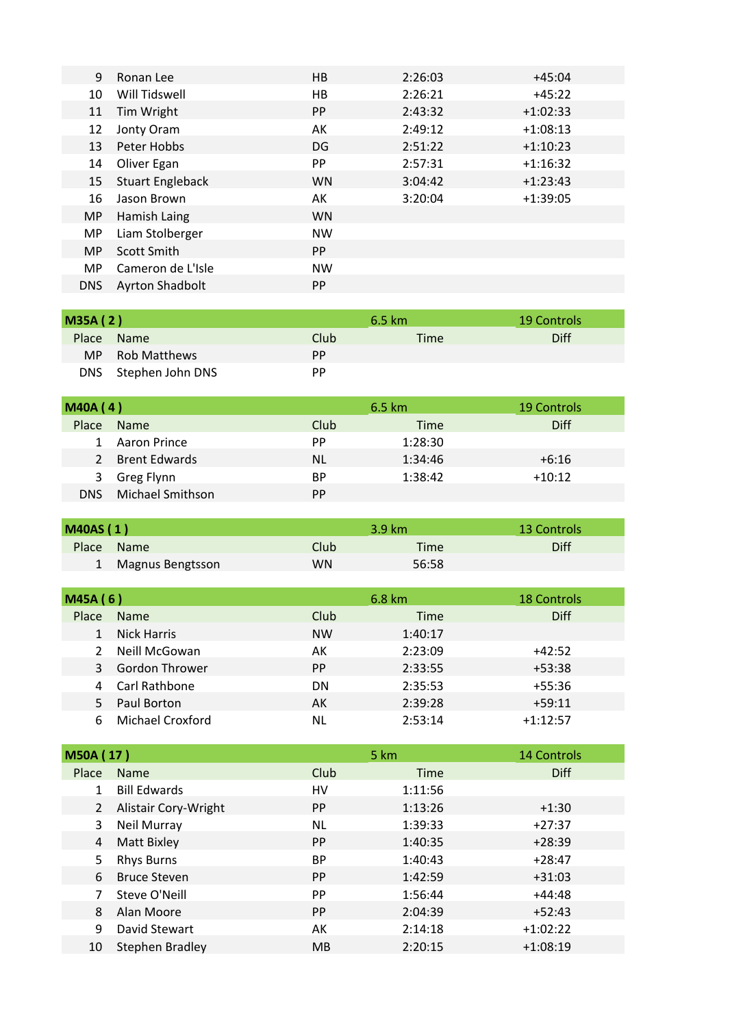| 9          | Ronan Lee               | HB        | 2:26:03 | $+45:04$   |
|------------|-------------------------|-----------|---------|------------|
| 10         | Will Tidswell           | HB        | 2:26:21 | $+45:22$   |
| 11         | Tim Wright              | <b>PP</b> | 2:43:32 | $+1:02:33$ |
| 12         | Jonty Oram              | AK        | 2:49:12 | $+1:08:13$ |
| 13         | Peter Hobbs             | DG        | 2:51:22 | $+1:10:23$ |
| 14         | Oliver Egan             | <b>PP</b> | 2:57:31 | $+1:16:32$ |
| 15         | <b>Stuart Engleback</b> | <b>WN</b> | 3:04:42 | $+1:23:43$ |
| 16         | Jason Brown             | AK        | 3:20:04 | $+1:39:05$ |
| MP.        | Hamish Laing            | <b>WN</b> |         |            |
| MP.        | Liam Stolberger         | <b>NW</b> |         |            |
| <b>MP</b>  | Scott Smith             | <b>PP</b> |         |            |
| MP.        | Cameron de L'Isle       | <b>NW</b> |         |            |
| <b>DNS</b> | Ayrton Shadbolt         | <b>PP</b> |         |            |

| <b>M35A (2)</b> |                      |      | 6.5 km | 19 Controls |
|-----------------|----------------------|------|--------|-------------|
| <b>Place</b>    | <b>Name</b>          | Club | Time   | Diff        |
|                 | MP Rob Matthews      | PP.  |        |             |
|                 | DNS Stephen John DNS | РP   |        |             |

| MAOA(4) |                  |      | 6.5 km  | <b>19 Controls</b> |
|---------|------------------|------|---------|--------------------|
| Place   | Name             | Club | Time    | Diff               |
| 1       | Aaron Prince     | PP   | 1:28:30 |                    |
|         | 2 Brent Edwards  | NL   | 1:34:46 | $+6:16$            |
| 3       | Greg Flynn       | ВP   | 1:38:42 | $+10:12$           |
| DNS.    | Michael Smithson | PP.  |         |                    |

| <b>M40AS (1)</b> |                  |             | $3.9 \text{ km}$ | 13 Controls |
|------------------|------------------|-------------|------------------|-------------|
|                  | Place Name       | <b>Club</b> | Time             | Diff        |
|                  | Magnus Bengtsson | WN          | 56:58            |             |

| M45A(6) |                       |           | 6.8 km  | <b>18 Controls</b> |
|---------|-----------------------|-----------|---------|--------------------|
| Place   | <b>Name</b>           | Club      | Time    | Diff               |
|         | <b>Nick Harris</b>    | <b>NW</b> | 1:40:17 |                    |
|         | Neill McGowan         | АK        | 2:23:09 | $+42:52$           |
| 3       | <b>Gordon Thrower</b> | <b>PP</b> | 2:33:55 | $+53:38$           |
|         | 4 Carl Rathbone       | DN        | 2:35:53 | $+55:36$           |
|         | Paul Borton           | АK        | 2:39:28 | $+59:11$           |
|         | Michael Croxford      | NL        | 2:53:14 | $+1:12:57$         |

| <b>M50A (17)</b> |                      |           | 5 km    | <b>14 Controls</b> |
|------------------|----------------------|-----------|---------|--------------------|
| Place            | <b>Name</b>          | Club      | Time    | <b>Diff</b>        |
|                  | <b>Bill Edwards</b>  | HV        | 1:11:56 |                    |
| 2                | Alistair Cory-Wright | PP.       | 1:13:26 | $+1:30$            |
| 3                | Neil Murray          | ΝL        | 1:39:33 | $+27:37$           |
| 4                | <b>Matt Bixley</b>   | <b>PP</b> | 1:40:35 | $+28:39$           |
| 5.               | <b>Rhys Burns</b>    | <b>BP</b> | 1:40:43 | $+28:47$           |
| 6                | <b>Bruce Steven</b>  | <b>PP</b> | 1:42:59 | $+31:03$           |
|                  | Steve O'Neill        | <b>PP</b> | 1:56:44 | $+44:48$           |
| 8                | Alan Moore           | PP.       | 2:04:39 | $+52:43$           |
| 9                | David Stewart        | AK        | 2:14:18 | $+1:02:22$         |
| 10               | Stephen Bradley      | <b>MB</b> | 2:20:15 | $+1:08:19$         |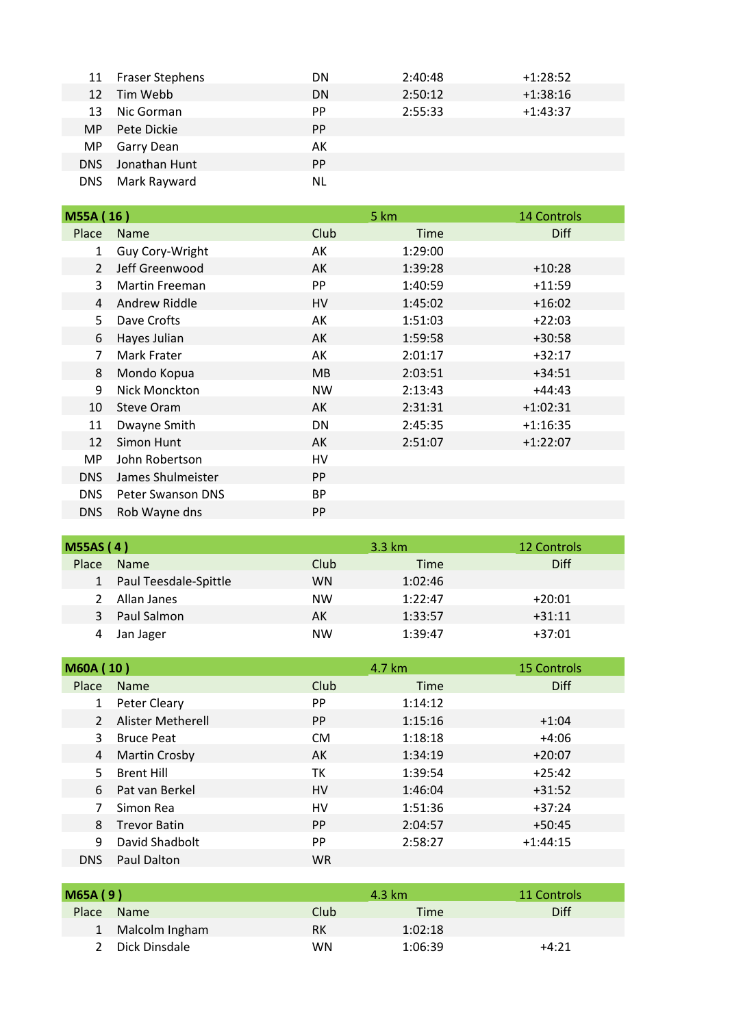|            | 11 Fraser Stephens | DN        | 2:40:48 | $+1:28:52$ |
|------------|--------------------|-----------|---------|------------|
| 12         | Tim Webb           | <b>DN</b> | 2:50:12 | $+1:38:16$ |
| 13         | Nic Gorman         | PP.       | 2:55:33 | $+1:43:37$ |
| <b>MP</b>  | Pete Dickie        | <b>PP</b> |         |            |
| MP         | Garry Dean         | AK        |         |            |
| DNS.       | Jonathan Hunt      | <b>PP</b> |         |            |
| <b>DNS</b> | Mark Rayward       | NL        |         |            |

| M55A (16)     |                          |           | 5 km        | <b>14 Controls</b> |
|---------------|--------------------------|-----------|-------------|--------------------|
| Place         | <b>Name</b>              | Club      | <b>Time</b> | <b>Diff</b>        |
| $\mathbf{1}$  | Guy Cory-Wright          | AK        | 1:29:00     |                    |
| $\mathcal{L}$ | Jeff Greenwood           | AK        | 1:39:28     | $+10:28$           |
| 3             | <b>Martin Freeman</b>    | <b>PP</b> | 1:40:59     | $+11:59$           |
| 4             | Andrew Riddle            | HV        | 1:45:02     | $+16:02$           |
| 5             | Dave Crofts              | АK        | 1:51:03     | $+22:03$           |
| 6             | Hayes Julian             | AK        | 1:59:58     | $+30:58$           |
| 7             | Mark Frater              | АK        | 2:01:17     | $+32:17$           |
| 8             | Mondo Kopua              | <b>MB</b> | 2:03:51     | $+34:51$           |
| 9             | Nick Monckton            | <b>NW</b> | 2:13:43     | $+44:43$           |
| 10            | <b>Steve Oram</b>        | AK        | 2:31:31     | $+1:02:31$         |
| 11            | Dwayne Smith             | DN        | 2:45:35     | $+1:16:35$         |
| 12            | Simon Hunt               | AK        | 2:51:07     | $+1:22:07$         |
| MP            | John Robertson           | HV        |             |                    |
| <b>DNS</b>    | James Shulmeister        | <b>PP</b> |             |                    |
| DNS.          | <b>Peter Swanson DNS</b> | <b>BP</b> |             |                    |
| <b>DNS</b>    | Rob Wayne dns            | PP        |             |                    |

| <b>M55AS (4)</b> |                         |           | $3.3 \text{ km}$ | 12 Controls |
|------------------|-------------------------|-----------|------------------|-------------|
| Place            | <b>Name</b>             | Club      | Time             | <b>Diff</b> |
|                  | 1 Paul Teesdale-Spittle | WN        | 1:02:46          |             |
| $\mathcal{P}$    | Allan Janes             | <b>NW</b> | 1:22:47          | $+20:01$    |
| 3                | Paul Salmon             | AK        | 1:33:57          | $+31:11$    |
|                  | Jan Jager               | NW        | 1:39:47          | $+37:01$    |

| <b>M60A (10)</b> |                      |           | 4.7 km      | <b>15 Controls</b> |
|------------------|----------------------|-----------|-------------|--------------------|
| Place            | <b>Name</b>          | Club      | <b>Time</b> | <b>Diff</b>        |
|                  | Peter Cleary         | <b>PP</b> | 1:14:12     |                    |
| $\mathcal{L}$    | Alister Metherell    | <b>PP</b> | 1:15:16     | $+1:04$            |
| 3                | <b>Bruce Peat</b>    | <b>CM</b> | 1:18:18     | $+4:06$            |
| 4                | <b>Martin Crosby</b> | AK        | 1:34:19     | $+20:07$           |
|                  | <b>Brent Hill</b>    | тк        | 1:39:54     | $+25:42$           |
| 6                | Pat van Berkel       | HV        | 1:46:04     | $+31:52$           |
|                  | Simon Rea            | HV        | 1:51:36     | $+37:24$           |
| 8                | <b>Trevor Batin</b>  | PP.       | 2:04:57     | $+50:45$           |
| 9                | David Shadbolt       | <b>PP</b> | 2:58:27     | $+1:44:15$         |
| <b>DNS</b>       | Paul Dalton          | <b>WR</b> |             |                    |

| <b>M65A (9)</b> |                  |           | $4.3 \text{ km}$ | 11 Controls |
|-----------------|------------------|-----------|------------------|-------------|
| Place           | <b>Name</b>      | Club      | Time             | <b>Diff</b> |
|                 | 1 Malcolm Ingham | RK        | 1:02:18          |             |
| $\mathcal{L}$   | Dick Dinsdale    | <b>WN</b> | 1:06:39          | $+4:21$     |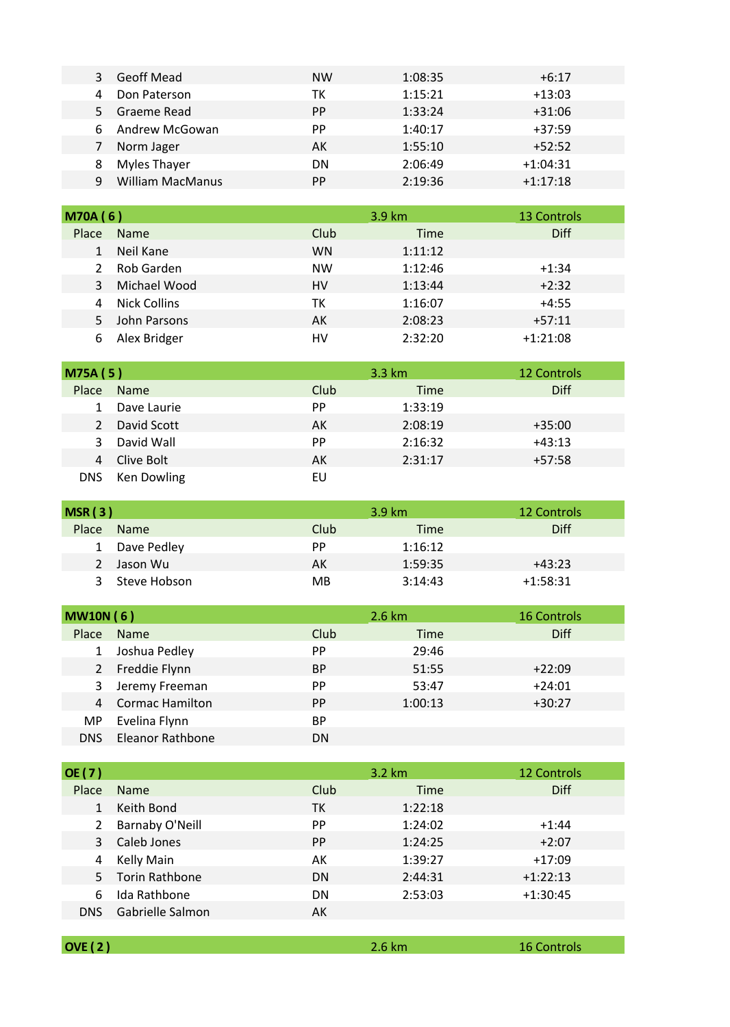|    | Geoff Mead              | <b>NW</b> | 1:08:35 | $+6:17$    |
|----|-------------------------|-----------|---------|------------|
|    | Don Paterson            | тк        | 1:15:21 | $+13:03$   |
| 5. | Graeme Read             | <b>PP</b> | 1:33:24 | $+31:06$   |
|    | Andrew McGowan          | <b>PP</b> | 1:40:17 | $+37:59$   |
|    | Norm Jager              | AК        | 1:55:10 | $+52:52$   |
| 8  | Myles Thayer            | DN        | 2:06:49 | $+1:04:31$ |
|    | <b>William MacManus</b> | PP        | 2:19:36 | $+1:17:18$ |

| <b>M70A (6)</b> |              |           | 3.9 km      | 13 Controls |
|-----------------|--------------|-----------|-------------|-------------|
| Place           | <b>Name</b>  | Club      | <b>Time</b> | Diff        |
|                 | Neil Kane    | <b>WN</b> | 1:11:12     |             |
| 2               | Rob Garden   | <b>NW</b> | 1:12:46     | $+1:34$     |
| 3               | Michael Wood | HV        | 1:13:44     | $+2:32$     |
| 4               | Nick Collins | ТΚ        | 1:16:07     | $+4:55$     |
| 5.              | John Parsons | АK        | 2:08:23     | $+57:11$    |
| 6               | Alex Bridger | HV        | 2:32:20     | $+1:21:08$  |

| <b>M75A (5)</b> |             |           | 3.3 km  | 12 Controls |
|-----------------|-------------|-----------|---------|-------------|
| Place           | Name        | Club      | Time    | Diff        |
|                 | Dave Laurie | <b>PP</b> | 1:33:19 |             |
| 2               | David Scott | АK        | 2:08:19 | $+35:00$    |
| 3               | David Wall  | PP        | 2:16:32 | $+43:13$    |
|                 | Clive Bolt  | АK        | 2:31:17 | $+57:58$    |
| DNS.            | Ken Dowling | EU        |         |             |

| MSR(3)       |              |      | 3.9 km  | 12 Controls |
|--------------|--------------|------|---------|-------------|
| Place        | <b>Name</b>  | Club | Time    | Diff        |
| $\mathbf{1}$ | Dave Pedley  | PP   | 1:16:12 |             |
|              | Jason Wu     | АK   | 1:59:35 | $+43:23$    |
|              | Steve Hobson | MB   | 3:14:43 | $+1:58:31$  |

| <b>MW10N (6)</b> |                         |           | 2.6 km  | <b>16 Controls</b> |
|------------------|-------------------------|-----------|---------|--------------------|
| Place            | Name                    | Club      | Time    | Diff               |
|                  | Joshua Pedley           | PP        | 29:46   |                    |
| 2                | Freddie Flynn           | <b>BP</b> | 51:55   | $+22:09$           |
| 3                | Jeremy Freeman          | PP.       | 53:47   | $+24:01$           |
| $\overline{4}$   | <b>Cormac Hamilton</b>  | <b>PP</b> | 1:00:13 | $+30:27$           |
| MP.              | Evelina Flynn           | <b>BP</b> |         |                    |
| DNS.             | <b>Eleanor Rathbone</b> | DΝ        |         |                    |

| OE(7)      |                        |           | $3.2 \text{ km}$ | <b>12 Controls</b> |
|------------|------------------------|-----------|------------------|--------------------|
| Place      | <b>Name</b>            | Club      | Time             | <b>Diff</b>        |
|            | Keith Bond             | ТK        | 1:22:18          |                    |
| 2          | <b>Barnaby O'Neill</b> | PP        | 1:24:02          | $+1:44$            |
| 3          | Caleb Jones            | <b>PP</b> | 1:24:25          | $+2:07$            |
| 4          | Kelly Main             | AK        | 1:39:27          | $+17:09$           |
|            | 5 Torin Rathbone       | <b>DN</b> | 2:44:31          | $+1:22:13$         |
| 6          | Ida Rathbone           | DN        | 2:53:03          | $+1:30:45$         |
| <b>DNS</b> | Gabrielle Salmon       | AK        |                  |                    |
|            |                        |           |                  |                    |

**OVE ( 2 )** 2.6 km 16 Controls

2.6 km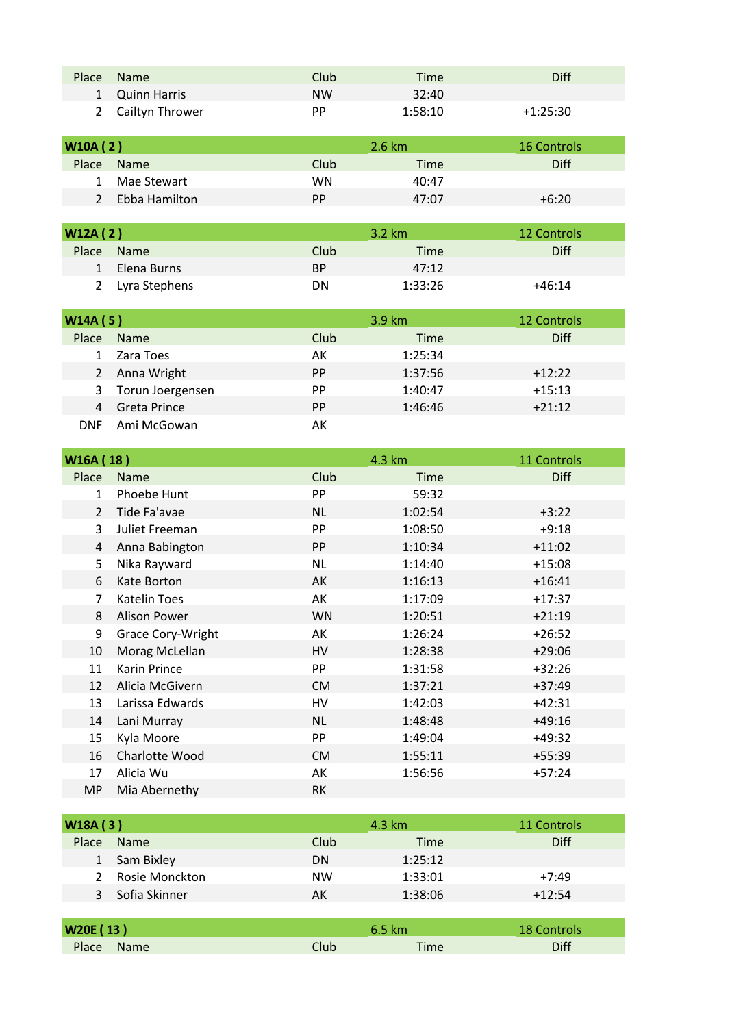| Place | Name              | Club <sup>1</sup> | Time    | Diff       |
|-------|-------------------|-------------------|---------|------------|
|       | 1 Quinn Harris    | <b>NW</b>         | 32:40   |            |
|       | 2 Cailtyn Thrower | РP                | 1:58:10 | $+1:25:30$ |

| W10A(2)       |               |           | 2.6 km | <b>16 Controls</b> |
|---------------|---------------|-----------|--------|--------------------|
| Place         | <b>Name</b>   | Club      | Time   | Diff               |
| 1             | Mae Stewart   | WN        | 40:47  |                    |
| $\mathcal{P}$ | Ebba Hamilton | <b>PP</b> | 47:07  | $+6:20$            |

| W12A(2)      |                 |           | $3.2 \text{ km}$ | 12 Controls |
|--------------|-----------------|-----------|------------------|-------------|
| Place        | <b>Name</b>     | Club      | Time             | Diff        |
| $\mathbf{1}$ | Elena Burns     | <b>BP</b> | 47:12            |             |
|              | 2 Lyra Stephens | DΝ        | 1:33:26          | $+46:14$    |

| W14A(5)    |                  |           | $3.9 \text{ km}$ | 12 Controls |
|------------|------------------|-----------|------------------|-------------|
| Place      | Name             | Club      | Time             | <b>Diff</b> |
|            | Zara Toes        | АK        | 1:25:34          |             |
|            | 2 Anna Wright    | <b>PP</b> | 1:37:56          | $+12:22$    |
| 3          | Torun Joergensen | PP        | 1:40:47          | $+15:13$    |
| 4          | Greta Prince     | <b>PP</b> | 1:46:46          | $+21:12$    |
| <b>DNF</b> | Ami McGowan      | AK        |                  |             |

| W16A (18)      |                     | 4.3 km    |             | 11 Controls |
|----------------|---------------------|-----------|-------------|-------------|
| Place          | <b>Name</b>         | Club      | <b>Time</b> | <b>Diff</b> |
| $\mathbf{1}$   | Phoebe Hunt         | <b>PP</b> | 59:32       |             |
| $\overline{2}$ | Tide Fa'avae        | <b>NL</b> | 1:02:54     | $+3:22$     |
| 3              | Juliet Freeman      | PP        | 1:08:50     | $+9:18$     |
| 4              | Anna Babington      | <b>PP</b> | 1:10:34     | $+11:02$    |
| 5              | Nika Rayward        | <b>NL</b> | 1:14:40     | $+15:08$    |
| 6              | Kate Borton         | AK        | 1:16:13     | $+16:41$    |
| 7              | <b>Katelin Toes</b> | AK        | 1:17:09     | $+17:37$    |
| 8              | <b>Alison Power</b> | <b>WN</b> | 1:20:51     | $+21:19$    |
| 9              | Grace Cory-Wright   | AK        | 1:26:24     | $+26:52$    |
| 10             | Morag McLellan      | HV        | 1:28:38     | $+29:06$    |
| 11             | Karin Prince        | PP        | 1:31:58     | $+32:26$    |
| 12             | Alicia McGivern     | <b>CM</b> | 1:37:21     | $+37:49$    |
| 13             | Larissa Edwards     | HV        | 1:42:03     | $+42:31$    |
| 14             | Lani Murray         | ΝL        | 1:48:48     | $+49:16$    |
| 15             | Kyla Moore          | PP        | 1:49:04     | $+49:32$    |
| 16             | Charlotte Wood      | <b>CM</b> | 1:55:11     | $+55:39$    |
| 17             | Alicia Wu           | AK        | 1:56:56     | $+57:24$    |
| <b>MP</b>      | Mia Abernethy       | <b>RK</b> |             |             |

| W18A(3)       |                |           | $4.3 \text{ km}$ | 11 Controls |
|---------------|----------------|-----------|------------------|-------------|
| Place         | <b>Name</b>    | Club      | Time             | Diff        |
|               | Sam Bixley     | DN        | 1:25:12          |             |
| $\mathcal{L}$ | Rosie Monckton | <b>NW</b> | 1:33:01          | $+7:49$     |
|               | Sofia Skinner  | АK        | 1:38:06          | $+12:54$    |

| W20E (13)  |             | 6.5 km | <b>18 Controls</b> |
|------------|-------------|--------|--------------------|
| Place Name | <b>Club</b> | Time   | Diff               |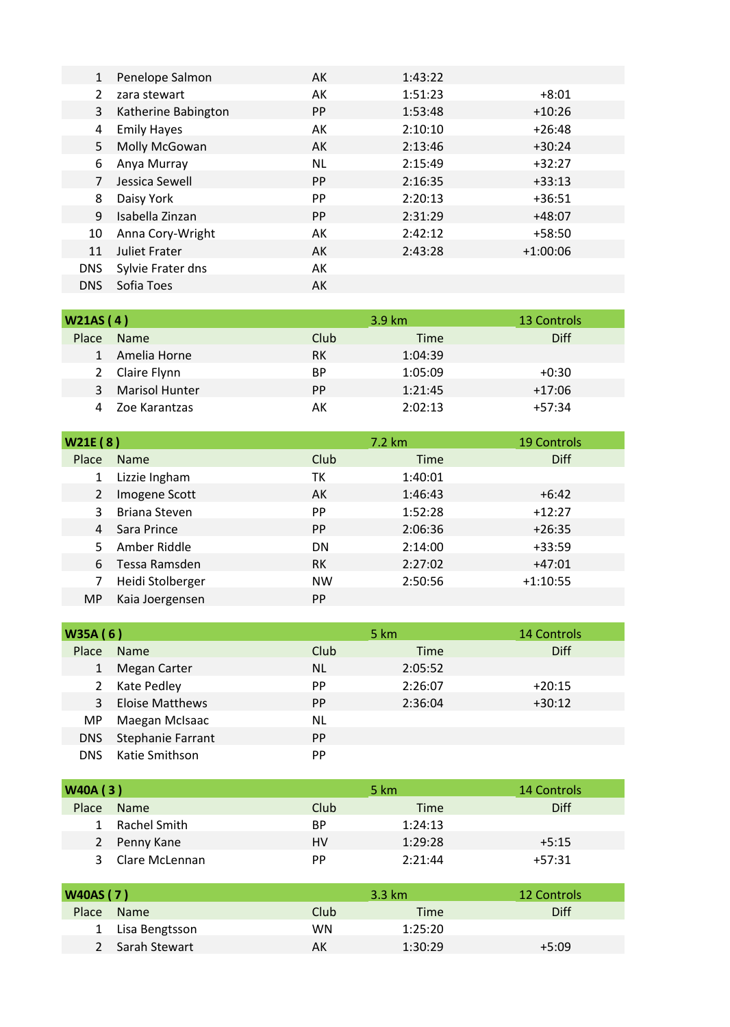| $\mathbf{1}$  | Penelope Salmon      | AK  | 1:43:22 |            |
|---------------|----------------------|-----|---------|------------|
| $\mathcal{P}$ | zara stewart         | AK  | 1:51:23 | $+8:01$    |
| 3             | Katherine Babington  | PP. | 1:53:48 | $+10:26$   |
| 4             | <b>Emily Hayes</b>   | AK  | 2:10:10 | $+26:48$   |
| 5             | Molly McGowan        | AK  | 2:13:46 | $+30:24$   |
| 6             | Anya Murray          | NL  | 2:15:49 | $+32:27$   |
| 7             | Jessica Sewell       | PP. | 2:16:35 | $+33:13$   |
| 8             | Daisy York           | PP. | 2:20:13 | $+36:51$   |
| 9             | Isabella Zinzan      | PP. | 2:31:29 | $+48:07$   |
| 10            | Anna Cory-Wright     | AK  | 2:42:12 | $+58:50$   |
| 11            | <b>Juliet Frater</b> | AK  | 2:43:28 | $+1:00:06$ |
| <b>DNS</b>    | Sylvie Frater dns    | AK  |         |            |
| <b>DNS</b>    | Sofia Toes           | AK  |         |            |

| W21AS(4)     |                       |           | $3.9 \text{ km}$ | 13 Controls |
|--------------|-----------------------|-----------|------------------|-------------|
| Place        | <b>Name</b>           | Club      | Time             | Diff        |
| $\mathbf{1}$ | Amelia Horne          | RK        | 1:04:39          |             |
|              | 2 Claire Flynn        | ВP        | 1:05:09          | $+0:30$     |
| 3            | <b>Marisol Hunter</b> | <b>PP</b> | 1:21:45          | $+17:06$    |
|              | Zoe Karantzas         | АK        | 2:02:13          | $+57:34$    |

| W21E(8) |                      |           | 7.2 km  | <b>19 Controls</b> |
|---------|----------------------|-----------|---------|--------------------|
| Place   | <b>Name</b>          | Club      | Time    | <b>Diff</b>        |
|         | Lizzie Ingham        | ТK        | 1:40:01 |                    |
| 2       | Imogene Scott        | AK        | 1:46:43 | $+6:42$            |
| 3.      | <b>Briana Steven</b> | <b>PP</b> | 1:52:28 | $+12:27$           |
| 4       | Sara Prince          | <b>PP</b> | 2:06:36 | $+26:35$           |
|         | Amber Riddle         | DN        | 2:14:00 | $+33:59$           |
| 6.      | Tessa Ramsden        | <b>RK</b> | 2:27:02 | $+47:01$           |
|         | Heidi Stolberger     | <b>NW</b> | 2:50:56 | $+1:10:55$         |
| MP.     | Kaia Joergensen      | <b>PP</b> |         |                    |

| W35A (6) |                        |           | 5 km        | 14 Controls |
|----------|------------------------|-----------|-------------|-------------|
| Place    | Name                   | Club      | <b>Time</b> | <b>Diff</b> |
|          | Megan Carter           | NL        | 2:05:52     |             |
| 2        | Kate Pedley            | <b>PP</b> | 2:26:07     | $+20:15$    |
| 3        | <b>Eloise Matthews</b> | <b>PP</b> | 2:36:04     | $+30:12$    |
| MP.      | Maegan McIsaac         | ΝL        |             |             |
| DNS.     | Stephanie Farrant      | <b>PP</b> |             |             |
| DNS.     | Katie Smithson         | PP        |             |             |

| <b>W40A (3)</b> |                |           | 5 km    | 14 Controls |
|-----------------|----------------|-----------|---------|-------------|
| Place           | <b>Name</b>    | Club      | Time    | <b>Diff</b> |
|                 | Rachel Smith   | <b>BP</b> | 1:24:13 |             |
| 2               | Penny Kane     | HV        | 1:29:28 | $+5:15$     |
| 3               | Clare McLennan | <b>PP</b> | 2:21:44 | $+57:31$    |

| <b>W40AS (7)</b> |                  |      | $3.3 \text{ km}$ | 12 Controls |
|------------------|------------------|------|------------------|-------------|
| Place            | <b>Name</b>      | Club | Time             | Diff        |
|                  | 1 Lisa Bengtsson | WN   | 1:25:20          |             |
|                  | 2 Sarah Stewart  | AK   | 1:30:29          | $+5:09$     |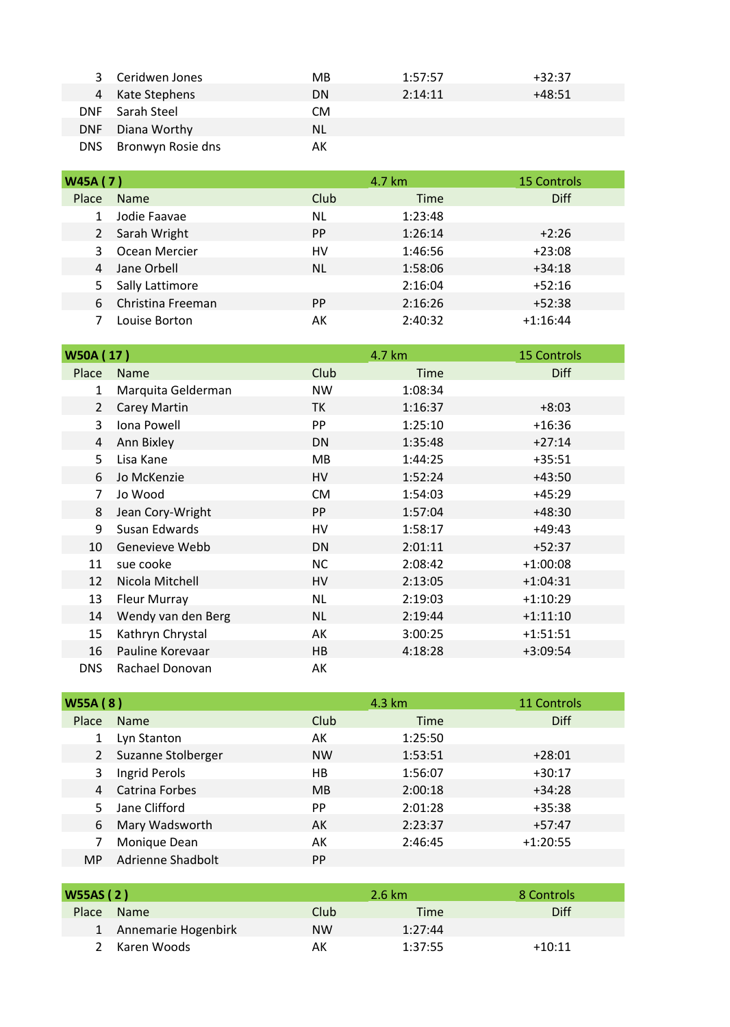|            | 3 Ceridwen Jones  | MВ        | 1:57:57 | $+32:37$ |
|------------|-------------------|-----------|---------|----------|
|            | 4 Kate Stephens   | <b>DN</b> | 2:14:11 | $+48:51$ |
| <b>DNF</b> | Sarah Steel       | СM        |         |          |
| <b>DNF</b> | Diana Worthy      | NL.       |         |          |
| DNS.       | Bronwyn Rosie dns | AК        |         |          |

| W45A (7) |                   |           | 4.7 km      | <b>15 Controls</b> |
|----------|-------------------|-----------|-------------|--------------------|
| Place    | <b>Name</b>       | Club      | <b>Time</b> | <b>Diff</b>        |
|          | Jodie Faavae      | ΝL        | 1:23:48     |                    |
| 2        | Sarah Wright      | <b>PP</b> | 1:26:14     | $+2:26$            |
| 3        | Ocean Mercier     | HV        | 1:46:56     | $+23:08$           |
| 4        | Jane Orbell       | NL        | 1:58:06     | $+34:18$           |
| 5.       | Sally Lattimore   |           | 2:16:04     | $+52:16$           |
| 6        | Christina Freeman | PP.       | 2:16:26     | $+52:38$           |
|          | Louise Borton     | АK        | 2:40:32     | $+1:16:44$         |

| W50A (17)      |                     |           | 4.7 km      | <b>15 Controls</b> |
|----------------|---------------------|-----------|-------------|--------------------|
| Place          | <b>Name</b>         | Club      | <b>Time</b> | <b>Diff</b>        |
| $\mathbf{1}$   | Marquita Gelderman  | <b>NW</b> | 1:08:34     |                    |
| $\overline{2}$ | <b>Carey Martin</b> | <b>TK</b> | 1:16:37     | $+8:03$            |
| 3              | Iona Powell         | PP        | 1:25:10     | $+16:36$           |
| 4              | Ann Bixley          | DN        | 1:35:48     | $+27:14$           |
| 5              | Lisa Kane           | MB        | 1:44:25     | $+35:51$           |
| 6              | Jo McKenzie         | HV        | 1:52:24     | $+43:50$           |
| $\overline{7}$ | Jo Wood             | <b>CM</b> | 1:54:03     | $+45:29$           |
| 8              | Jean Cory-Wright    | <b>PP</b> | 1:57:04     | $+48:30$           |
| 9              | Susan Edwards       | HV        | 1:58:17     | $+49:43$           |
| 10             | Genevieve Webb      | DN        | 2:01:11     | $+52:37$           |
| 11             | sue cooke           | <b>NC</b> | 2:08:42     | $+1:00:08$         |
| 12             | Nicola Mitchell     | HV        | 2:13:05     | $+1:04:31$         |
| 13             | <b>Fleur Murray</b> | <b>NL</b> | 2:19:03     | $+1:10:29$         |
| 14             | Wendy van den Berg  | <b>NL</b> | 2:19:44     | $+1:11:10$         |
| 15             | Kathryn Chrystal    | AK        | 3:00:25     | $+1:51:51$         |
| 16             | Pauline Korevaar    | HB        | 4:18:28     | $+3:09:54$         |
| <b>DNS</b>     | Rachael Donovan     | АK        |             |                    |

| <b>W55A (8)</b> |                    |           | 4.3 km  | 11 Controls |
|-----------------|--------------------|-----------|---------|-------------|
| Place           | <b>Name</b>        | Club      | Time    | <b>Diff</b> |
|                 | Lyn Stanton        | АK        | 1:25:50 |             |
| 2               | Suzanne Stolberger | <b>NW</b> | 1:53:51 | $+28:01$    |
| 3               | Ingrid Perols      | HВ        | 1:56:07 | $+30:17$    |
| 4               | Catrina Forbes     | <b>MB</b> | 2:00:18 | $+34:28$    |
|                 | Jane Clifford      | PP.       | 2:01:28 | $+35:38$    |
| 6               | Mary Wadsworth     | AK        | 2:23:37 | $+57:47$    |
|                 | Monique Dean       | АK        | 2:46:45 | $+1:20:55$  |
| MP.             | Adrienne Shadbolt  | <b>PP</b> |         |             |

| <b>W55AS (2)</b> |                       |           | 2.6 km      | 8 Controls  |
|------------------|-----------------------|-----------|-------------|-------------|
| Place            | <b>Name</b>           | Club      | <b>Time</b> | <b>Diff</b> |
|                  | 1 Annemarie Hogenbirk | <b>NW</b> | 1:27:44     |             |
|                  | 2 Karen Woods         | АΚ        | 1:37:55     | $+10:11$    |